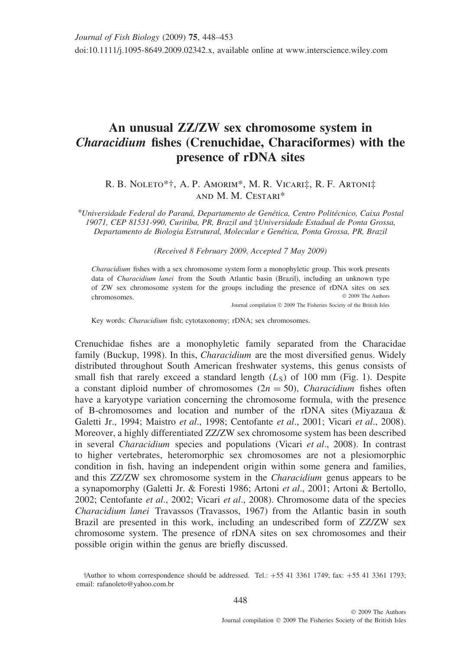## **An unusual ZZ/ZW sex chromosome system in** *Characidium* **fishes (Crenuchidae, Characiformes) with the presence of rDNA sites**

## R. B. Noleto\*†, A. P. Amorim\*, M. R. Vicari‡, R. F. Artoni‡ and M. M. Cestari\*

*\*Universidade Federal do Paran´a, Departamento de Gen´etica, Centro Polit´ecnico, Caixa Postal 19071, CEP 81531-990, Curitiba, PR, Brazil and* ‡*Universidade Estadual de Ponta Grossa, Departamento de Biologia Estrutural, Molecular e Gen´etica, Ponta Grossa, PR, Brazil*

*(Received 8 February 2009, Accepted 7 May 2009)*

*Characidium* fishes with a sex chromosome system form a monophyletic group. This work presents data of *Characidium lanei* from the South Atlantic basin (Brazil), including an unknown type of ZW sex chromosome system for the groups including the presence of rDNA sites on sex chromosomes. © 2009 The Authors

Journal compilation © 2009 The Fisheries Society of the British Isles

Key words: *Characidium* fish; cytotaxonomy; rDNA; sex chromosomes.

Crenuchidae fishes are a monophyletic family separated from the Characidae family (Buckup, 1998). In this, *Characidium* are the most diversified genus. Widely distributed throughout South American freshwater systems, this genus consists of small fish that rarely exceed a standard length  $(L<sub>S</sub>)$  of 100 mm (Fig. 1). Despite a constant diploid number of chromosomes  $(2n = 50)$ , *Characidium* fishes often have a karyotype variation concerning the chromosome formula, with the presence of B-chromosomes and location and number of the rDNA sites (Miyazaua  $\&$ Galetti Jr., 1994; Maistro *et al*., 1998; Centofante *et al*., 2001; Vicari *et al*., 2008). Moreover, a highly differentiated ZZ/ZW sex chromosome system has been described in several *Characidium* species and populations (Vicari *et al*., 2008). In contrast to higher vertebrates, heteromorphic sex chromosomes are not a plesiomorphic condition in fish, having an independent origin within some genera and families, and this ZZ/ZW sex chromosome system in the *Characidium* genus appears to be a synapomorphy (Galetti Jr. & Foresti 1986; Artoni *et al*., 2001; Artoni & Bertollo, 2002; Centofante *et al*., 2002; Vicari *et al*., 2008). Chromosome data of the species *Characidium lanei* Travassos (Travassos, 1967) from the Atlantic basin in south Brazil are presented in this work, including an undescribed form of ZZ/ZW sex chromosome system. The presence of rDNA sites on sex chromosomes and their possible origin within the genus are briefly discussed.

<sup>†</sup>Author to whom correspondence should be addressed. Tel.: +55 41 3361 1749; fax: +55 41 3361 1793; email: rafanoleto@yahoo.com.br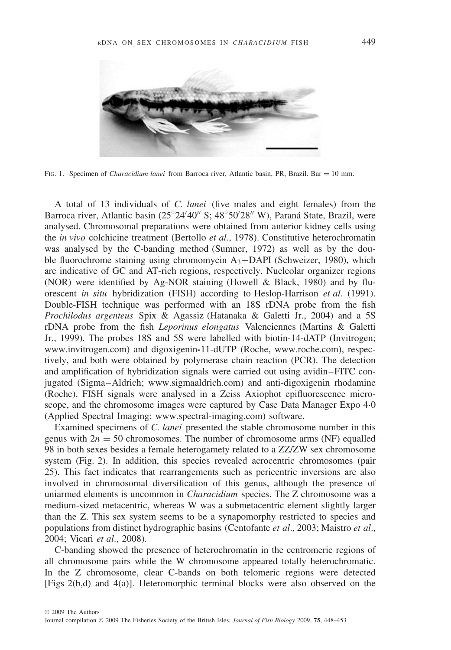

FIG. 1. Specimen of *Characidium lanei* from Barroca river, Atlantic basin, PR, Brazil. Bar = 10 mm.

A total of 13 individuals of *C. lanei* (five males and eight females) from the Barroca river, Atlantic basin  $(25^{\circ}24'40''$  S;  $48^{\circ}50'28''$  W), Paraná State, Brazil, were analysed. Chromosomal preparations were obtained from anterior kidney cells using the *in vivo* colchicine treatment (Bertollo *et al*., 1978). Constitutive heterochromatin was analysed by the C-banding method (Sumner, 1972) as well as by the double fluorochrome staining using chromomycin  $A_3+DAPI$  (Schweizer, 1980), which are indicative of GC and AT-rich regions, respectively. Nucleolar organizer regions (NOR) were identified by Ag-NOR staining (Howell & Black, 1980) and by fluorescent *in situ* hybridization (FISH) according to Heslop-Harrison *et al*. (1991). Double-FISH technique was performed with an 18S rDNA probe from the fish *Prochilodus argenteus* Spix & Agassiz (Hatanaka & Galetti Jr., 2004) and a 5S rDNA probe from the fish *Leporinus elongatus* Valenciennes (Martins & Galetti Jr., 1999). The probes 18S and 5S were labelled with biotin-14-dATP (Invitrogen; www.invitrogen.com) and digoxigenin**-**11-dUTP (Roche, www.roche.com), respectively, and both were obtained by polymerase chain reaction (PCR). The detection and amplification of hybridization signals were carried out using avidin–FITC conjugated (Sigma–Aldrich; www.sigmaaldrich.com) and anti-digoxigenin rhodamine (Roche). FISH signals were analysed in a Zeiss Axiophot epifluorescence microscope, and the chromosome images were captured by Case Data Manager Expo 4·0 (Applied Spectral Imaging; www.spectral-imaging.com) software.

Examined specimens of *C. lanei* presented the stable chromosome number in this genus with  $2n = 50$  chromosomes. The number of chromosome arms (NF) equalled 98 in both sexes besides a female heterogamety related to a ZZ/ZW sex chromosome system (Fig. 2). In addition, this species revealed acrocentric chromosomes (pair 25). This fact indicates that rearrangements such as pericentric inversions are also involved in chromosomal diversification of this genus, although the presence of uniarmed elements is uncommon in *Characidium* species. The Z chromosome was a medium-sized metacentric, whereas W was a submetacentric element slightly larger than the Z. This sex system seems to be a synapomorphy restricted to species and populations from distinct hydrographic basins (Centofante *et al*., 2003; Maistro *et al*., 2004; Vicari *et al*., 2008).

C-banding showed the presence of heterochromatin in the centromeric regions of all chromosome pairs while the W chromosome appeared totally heterochromatic. In the Z chromosome, clear C-bands on both telomeric regions were detected [Figs 2(b,d) and 4(a)]. Heteromorphic terminal blocks were also observed on the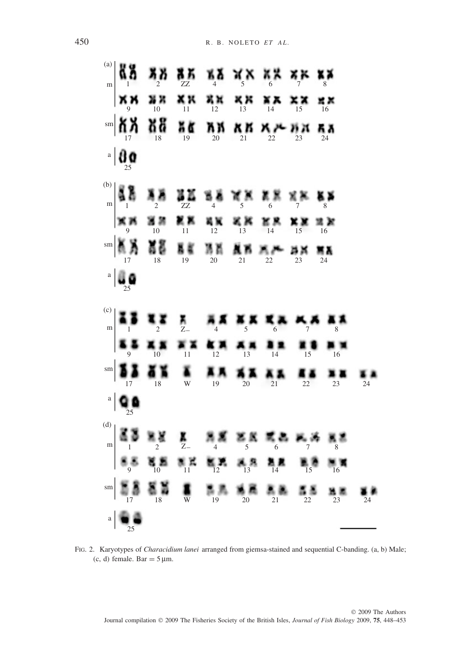

FIG. 2. Karyotypes of *Characidium lanei* arranged from giemsa-stained and sequential C-banding. (a, b) Male; (c, d) female. Bar =  $5 \mu$ m.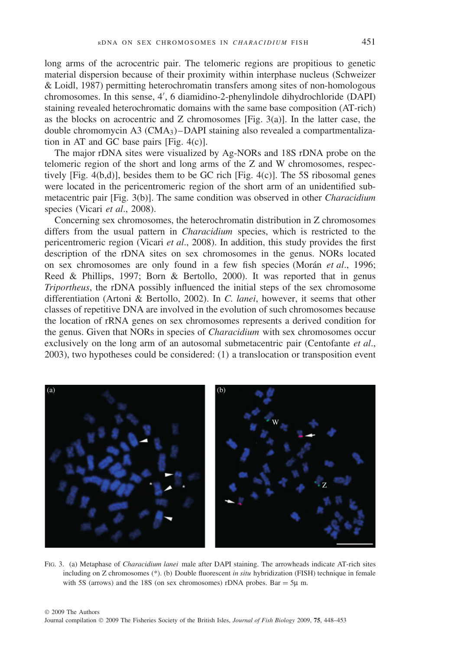long arms of the acrocentric pair. The telomeric regions are propitious to genetic material dispersion because of their proximity within interphase nucleus (Schweizer & Loidl, 1987) permitting heterochromatin transfers among sites of non-homologous chromosomes. In this sense, 4 , 6 diamidino-2-phenylindole dihydrochloride (DAPI) staining revealed heterochromatic domains with the same base composition (AT-rich) as the blocks on acrocentric and  $Z$  chromosomes [Fig. 3(a)]. In the latter case, the double chromomycin A3 (CMA3)–DAPI staining also revealed a compartmentalization in AT and GC base pairs [Fig. 4(c)].

The major rDNA sites were visualized by Ag-NORs and 18S rDNA probe on the telomeric region of the short and long arms of the Z and W chromosomes, respectively [Fig. 4(b,d)], besides them to be GC rich [Fig. 4(c)]. The 5S ribosomal genes were located in the pericentromeric region of the short arm of an unidentified submetacentric pair [Fig. 3(b)]. The same condition was observed in other *Characidium* species (Vicari *et al*., 2008).

Concerning sex chromosomes, the heterochromatin distribution in Z chromosomes differs from the usual pattern in *Characidium* species, which is restricted to the pericentromeric region (Vicari *et al*., 2008). In addition, this study provides the first description of the rDNA sites on sex chromosomes in the genus. NORs located on sex chromosomes are only found in a few fish species (Morán *et al.*, 1996; Reed & Phillips, 1997; Born & Bertollo, 2000). It was reported that in genus *Triportheus*, the rDNA possibly influenced the initial steps of the sex chromosome differentiation (Artoni & Bertollo, 2002). In *C. lanei*, however, it seems that other classes of repetitive DNA are involved in the evolution of such chromosomes because the location of rRNA genes on sex chromosomes represents a derived condition for the genus. Given that NORs in species of *Characidium* with sex chromosomes occur exclusively on the long arm of an autosomal submetacentric pair (Centofante *et al*., 2003), two hypotheses could be considered: (1) a translocation or transposition event



FIG. 3. (a) Metaphase of *Characidium lanei* male after DAPI staining. The arrowheads indicate AT-rich sites including on Z chromosomes (\*). (b) Double fluorescent *in situ* hybridization (FISH) technique in female with 5S (arrows) and the 18S (on sex chromosomes) rDNA probes. Bar  $=$  5 $\mu$  m.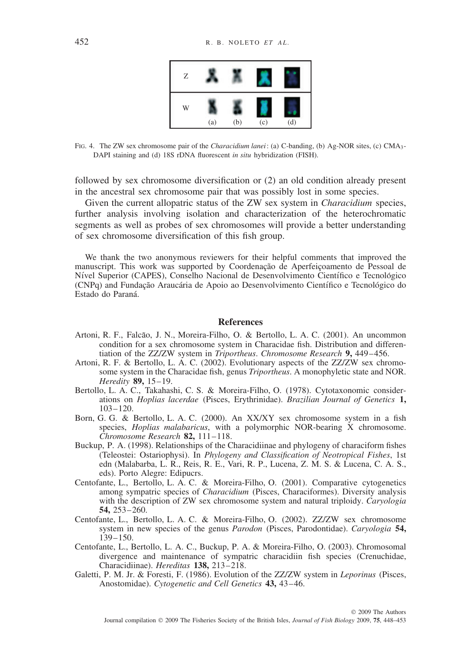

FIG. 4. The ZW sex chromosome pair of the *Characidium lanei*: (a) C-banding, (b) Ag-NOR sites, (c) CMA3- DAPI staining and (d) 18S rDNA fluorescent *in situ* hybridization (FISH).

followed by sex chromosome diversification or (2) an old condition already present in the ancestral sex chromosome pair that was possibly lost in some species.

Given the current allopatric status of the ZW sex system in *Characidium* species, further analysis involving isolation and characterization of the heterochromatic segments as well as probes of sex chromosomes will provide a better understanding of sex chromosome diversification of this fish group.

We thank the two anonymous reviewers for their helpful comments that improved the manuscript. This work was supported by Coordenação de Aperfeicoamento de Pessoal de Nível Superior (CAPES), Conselho Nacional de Desenvolvimento Científico e Tecnológico (CNPq) and Fundação Araucária de Apoio ao Desenvolvimento Científico e Tecnológico do Estado do Paraná.

## **References**

- Artoni, R. F., Falcão, J. N., Moreira-Filho, O. & Bertollo, L. A. C. (2001). An uncommon condition for a sex chromosome system in Characidae fish. Distribution and differentiation of the ZZ/ZW system in *Triportheus*. *Chromosome Research* **9,** 449–456.
- Artoni, R. F. & Bertollo, L. A. C. (2002). Evolutionary aspects of the ZZ/ZW sex chromosome system in the Characidae fish, genus *Triportheus*. A monophyletic state and NOR. *Heredity* **89,** 15–19.
- Bertollo, L. A. C., Takahashi, C. S. & Moreira-Filho, O. (1978). Cytotaxonomic considerations on *Hoplias lacerdae* (Pisces, Erythrinidae). *Brazilian Journal of Genetics* **1,** 103–120.
- Born, G. G. & Bertollo, L. A. C. (2000). An XX/XY sex chromosome system in a fish species, *Hoplias malabaricus*, with a polymorphic NOR-bearing X chromosome. *Chromosome Research* **82,** 111–118.
- Buckup, P. A. (1998). Relationships of the Characidiinae and phylogeny of characiform fishes (Teleostei: Ostariophysi). In *Phylogeny and Classification of Neotropical Fishes*, 1st edn (Malabarba, L. R., Reis, R. E., Vari, R. P., Lucena, Z. M. S. & Lucena, C. A. S., eds). Porto Alegre: Edipucrs.
- Centofante, L., Bertollo, L. A. C. & Moreira-Filho, O. (2001). Comparative cytogenetics among sympatric species of *Characidium* (Pisces, Characiformes). Diversity analysis with the description of ZW sex chromosome system and natural triploidy. *Caryologia* **54,** 253–260.
- Centofante, L., Bertollo, L. A. C. & Moreira-Filho, O. (2002). ZZ/ZW sex chromosome system in new species of the genus *Parodon* (Pisces, Parodontidae). *Caryologia* **54,** 139–150.
- Centofante, L., Bertollo, L. A. C., Buckup, P. A. & Moreira-Filho, O. (2003). Chromosomal divergence and maintenance of sympatric characidiin fish species (Crenuchidae, Characidiinae). *Hereditas* **138,** 213–218.
- Galetti, P. M. Jr. & Foresti, F. (1986). Evolution of the ZZ/ZW system in *Leporinus* (Pisces, Anostomidae). *Cytogenetic and Cell Genetics* **43,** 43–46.